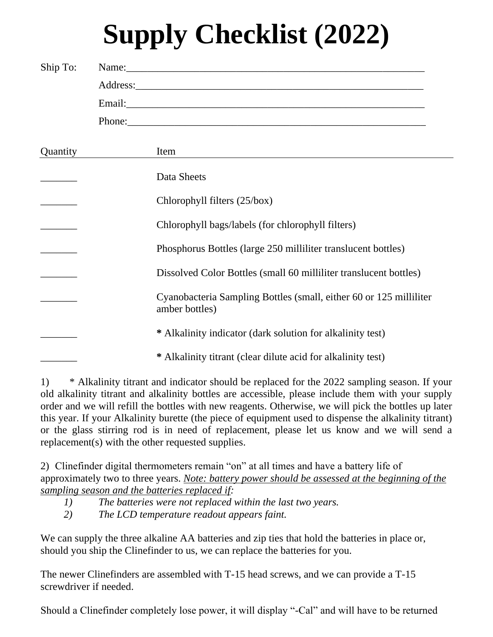## **Supply Checklist (2022)**

| Ship To: | Name:                                                                                |
|----------|--------------------------------------------------------------------------------------|
|          |                                                                                      |
|          |                                                                                      |
| Quantity | Item                                                                                 |
|          | Data Sheets                                                                          |
|          | Chlorophyll filters (25/box)                                                         |
|          | Chlorophyll bags/labels (for chlorophyll filters)                                    |
|          | Phosphorus Bottles (large 250 milliliter translucent bottles)                        |
|          | Dissolved Color Bottles (small 60 milliliter translucent bottles)                    |
|          | Cyanobacteria Sampling Bottles (small, either 60 or 125 milliliter<br>amber bottles) |
|          | * Alkalinity indicator (dark solution for alkalinity test)                           |
|          | * Alkalinity titrant (clear dilute acid for alkalinity test)                         |

1) \* Alkalinity titrant and indicator should be replaced for the 2022 sampling season. If your old alkalinity titrant and alkalinity bottles are accessible, please include them with your supply order and we will refill the bottles with new reagents. Otherwise, we will pick the bottles up later this year. If your Alkalinity burette (the piece of equipment used to dispense the alkalinity titrant) or the glass stirring rod is in need of replacement, please let us know and we will send a replacement(s) with the other requested supplies.

2) Clinefinder digital thermometers remain "on" at all times and have a battery life of approximately two to three years. *Note: battery power should be assessed at the beginning of the sampling season and the batteries replaced if:*

- *1) The batteries were not replaced within the last two years.*
- *2) The LCD temperature readout appears faint.*

We can supply the three alkaline AA batteries and zip ties that hold the batteries in place or, should you ship the Clinefinder to us, we can replace the batteries for you.

The newer Clinefinders are assembled with T-15 head screws, and we can provide a T-15 screwdriver if needed.

Should a Clinefinder completely lose power, it will display "-Cal" and will have to be returned